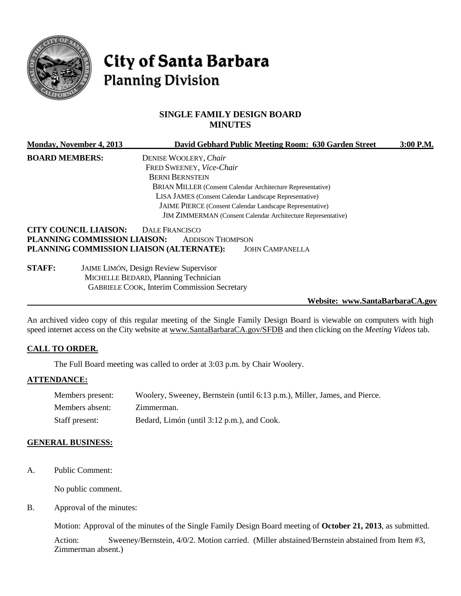

# City of Santa Barbara **Planning Division**

# **SINGLE FAMILY DESIGN BOARD MINUTES**

|                                                                     | Monday, November 4, 2013     |                                                                    | David Gebhard Public Meeting Room: 630 Garden Street | 3:00 P.M. |
|---------------------------------------------------------------------|------------------------------|--------------------------------------------------------------------|------------------------------------------------------|-----------|
| <b>BOARD MEMBERS:</b>                                               |                              | DENISE WOOLERY, Chair                                              |                                                      |           |
|                                                                     |                              | FRED SWEENEY, Vice-Chair                                           |                                                      |           |
|                                                                     |                              | <b>BERNI BERNSTEIN</b>                                             |                                                      |           |
|                                                                     |                              | <b>BRIAN MILLER (Consent Calendar Architecture Representative)</b> |                                                      |           |
|                                                                     |                              | LISA JAMES (Consent Calendar Landscape Representative)             |                                                      |           |
| JAIME PIERCE (Consent Calendar Landscape Representative)            |                              |                                                                    |                                                      |           |
| <b>JIM ZIMMERMAN</b> (Consent Calendar Architecture Representative) |                              |                                                                    |                                                      |           |
|                                                                     | <b>CITY COUNCIL LIAISON:</b> | <b>DALE FRANCISCO</b>                                              |                                                      |           |
|                                                                     | PLANNING COMMISSION LIAISON: | <b>ADDISON THOMPSON</b>                                            |                                                      |           |
|                                                                     |                              | PLANNING COMMISSION LIAISON (ALTERNATE):                           | <b>JOHN CAMPANELLA</b>                               |           |
| <b>STAFF:</b>                                                       |                              | <b>JAIME LIMÓN, Design Review Supervisor</b>                       |                                                      |           |
|                                                                     |                              | MICHELLE BEDARD, Planning Technician                               |                                                      |           |
|                                                                     |                              | <b>GABRIELE COOK, Interim Commission Secretary</b>                 |                                                      |           |

#### **Website: www.SantaBarbaraCA.gov**

An archived video copy of this regular meeting of the Single Family Design Board is viewable on computers with high speed internet access on the City website at [www.SantaBarbaraCA.gov/SFDB](http://www.santabarbaraca.gov/SFDB) and then clicking on the *Meeting Videos* tab.

#### **CALL TO ORDER.**

The Full Board meeting was called to order at 3:03 p.m. by Chair Woolery.

#### **ATTENDANCE:**

| Members present: | Woolery, Sweeney, Bernstein (until 6:13 p.m.), Miller, James, and Pierce. |
|------------------|---------------------------------------------------------------------------|
| Members absent:  | Zimmerman.                                                                |
| Staff present:   | Bedard, Limón (until 3:12 p.m.), and Cook.                                |

#### **GENERAL BUSINESS:**

A. Public Comment:

No public comment.

B. Approval of the minutes:

Motion: Approval of the minutes of the Single Family Design Board meeting of **October 21, 2013**, as submitted.

Action: Sweeney/Bernstein, 4/0/2. Motion carried. (Miller abstained/Bernstein abstained from Item #3, Zimmerman absent.)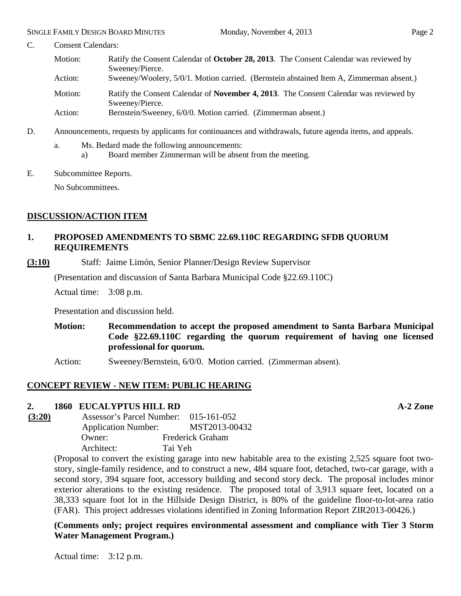- C. Consent Calendars:
	- Motion: Ratify the Consent Calendar of **October 28, 2013**. The Consent Calendar was reviewed by Sweeney/Pierce. Action: Sweeney/Woolery, 5/0/1. Motion carried. (Bernstein abstained Item A, Zimmerman absent.) Motion: Ratify the Consent Calendar of **November 4, 2013**. The Consent Calendar was reviewed by Sweeney/Pierce. Action: Bernstein/Sweeney, 6/0/0. Motion carried. (Zimmerman absent.)
	-
- D. Announcements, requests by applicants for continuances and withdrawals, future agenda items, and appeals.
	- a. Ms. Bedard made the following announcements:
		- a) Board member Zimmerman will be absent from the meeting.
- E. Subcommittee Reports.

No Subcommittees.

# **DISCUSSION/ACTION ITEM**

# **1. PROPOSED AMENDMENTS TO SBMC 22.69.110C REGARDING SFDB QUORUM REQUIREMENTS**

**(3:10)** Staff: Jaime Limón, Senior Planner/Design Review Supervisor

(Presentation and discussion of Santa Barbara Municipal Code §22.69.110C)

Actual time: 3:08 p.m.

Presentation and discussion held.

**Motion: Recommendation to accept the proposed amendment to Santa Barbara Municipal Code §22.69.110C regarding the quorum requirement of having one licensed professional for quorum.**

Action: Sweeney/Bernstein, 6/0/0. Motion carried. (Zimmerman absent).

# **CONCEPT REVIEW - NEW ITEM: PUBLIC HEARING**

### **2. 1860 EUCALYPTUS HILL RD A-2 Zone**

**(3:20)** Assessor's Parcel Number: 015-161-052 Application Number: MST2013-00432 Owner: Frederick Graham Architect: Tai Yeh

(Proposal to convert the existing garage into new habitable area to the existing 2,525 square foot twostory, single-family residence, and to construct a new, 484 square foot, detached, two-car garage, with a second story, 394 square foot, accessory building and second story deck. The proposal includes minor exterior alterations to the existing residence. The proposed total of 3,913 square feet, located on a 38,333 square foot lot in the Hillside Design District, is 80% of the guideline floor-to-lot-area ratio (FAR). This project addresses violations identified in Zoning Information Report ZIR2013-00426.)

**(Comments only; project requires environmental assessment and compliance with Tier 3 Storm Water Management Program.)**

Actual time: 3:12 p.m.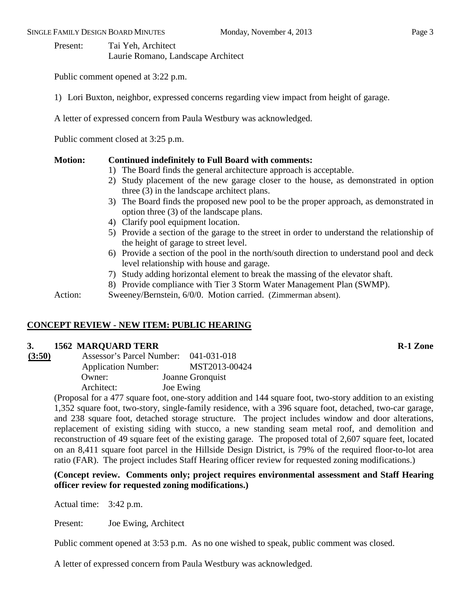Present: Tai Yeh, Architect Laurie Romano, Landscape Architect

Public comment opened at 3:22 p.m.

1) Lori Buxton, neighbor, expressed concerns regarding view impact from height of garage.

A letter of expressed concern from Paula Westbury was acknowledged.

Public comment closed at 3:25 p.m.

### **Motion: Continued indefinitely to Full Board with comments:**

- 1) The Board finds the general architecture approach is acceptable.
- 2) Study placement of the new garage closer to the house, as demonstrated in option three (3) in the landscape architect plans.
- 3) The Board finds the proposed new pool to be the proper approach, as demonstrated in option three (3) of the landscape plans.
- 4) Clarify pool equipment location.
- 5) Provide a section of the garage to the street in order to understand the relationship of the height of garage to street level.
- 6) Provide a section of the pool in the north/south direction to understand pool and deck level relationship with house and garage.
- 7) Study adding horizontal element to break the massing of the elevator shaft.
- 8) Provide compliance with Tier 3 Storm Water Management Plan (SWMP).

Action: Sweeney/Bernstein, 6/0/0. Motion carried. (Zimmerman absent).

# **CONCEPT REVIEW - NEW ITEM: PUBLIC HEARING**

### **3. 1562 MARQUARD TERR R-1 Zone**

| (3:50) | Assessor's Parcel Number:  | 041-031-018      |
|--------|----------------------------|------------------|
|        | <b>Application Number:</b> | MST2013-00424    |
|        | Owner:                     | Joanne Gronquist |
|        | Architect:                 | Joe Ewing        |

(Proposal for a 477 square foot, one-story addition and 144 square foot, two-story addition to an existing 1,352 square foot, two-story, single-family residence, with a 396 square foot, detached, two-car garage, and 238 square foot, detached storage structure. The project includes window and door alterations, replacement of existing siding with stucco, a new standing seam metal roof, and demolition and reconstruction of 49 square feet of the existing garage. The proposed total of 2,607 square feet, located on an 8,411 square foot parcel in the Hillside Design District, is 79% of the required floor-to-lot area ratio (FAR). The project includes Staff Hearing officer review for requested zoning modifications.)

# **(Concept review. Comments only; project requires environmental assessment and Staff Hearing officer review for requested zoning modifications.)**

Actual time: 3:42 p.m.

Present: Joe Ewing, Architect

Public comment opened at 3:53 p.m. As no one wished to speak, public comment was closed.

A letter of expressed concern from Paula Westbury was acknowledged.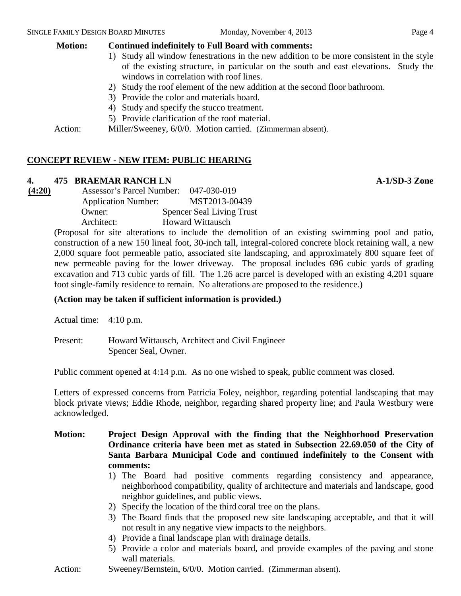# **Motion: Continued indefinitely to Full Board with comments:**

- 1) Study all window fenestrations in the new addition to be more consistent in the style of the existing structure, in particular on the south and east elevations. Study the windows in correlation with roof lines.
- 2) Study the roof element of the new addition at the second floor bathroom.
- 3) Provide the color and materials board.
- 4) Study and specify the stucco treatment.
- 5) Provide clarification of the roof material.

Action: Miller/Sweeney, 6/0/0. Motion carried. (Zimmerman absent).

# **CONCEPT REVIEW - NEW ITEM: PUBLIC HEARING**

# **4. 475 BRAEMAR RANCH LN A-1/SD-3 Zone**

**(4:20)** Assessor's Parcel Number: 047-030-019 Application Number: MST2013-00439 Owner: Spencer Seal Living Trust Architect: Howard Wittausch

> (Proposal for site alterations to include the demolition of an existing swimming pool and patio, construction of a new 150 lineal foot, 30-inch tall, integral-colored concrete block retaining wall, a new 2,000 square foot permeable patio, associated site landscaping, and approximately 800 square feet of new permeable paving for the lower driveway. The proposal includes 696 cubic yards of grading excavation and 713 cubic yards of fill. The 1.26 acre parcel is developed with an existing 4,201 square foot single-family residence to remain. No alterations are proposed to the residence.)

# **(Action may be taken if sufficient information is provided.)**

Actual time: 4:10 p.m.

Present: Howard Wittausch, Architect and Civil Engineer Spencer Seal, Owner.

Public comment opened at 4:14 p.m. As no one wished to speak, public comment was closed.

Letters of expressed concerns from Patricia Foley, neighbor, regarding potential landscaping that may block private views; Eddie Rhode, neighbor, regarding shared property line; and Paula Westbury were acknowledged.

# **Motion: Project Design Approval with the finding that the Neighborhood Preservation Ordinance criteria have been met as stated in Subsection 22.69.050 of the City of Santa Barbara Municipal Code and continued indefinitely to the Consent with comments:**

- 1) The Board had positive comments regarding consistency and appearance, neighborhood compatibility, quality of architecture and materials and landscape, good neighbor guidelines, and public views.
- 2) Specify the location of the third coral tree on the plans.
- 3) The Board finds that the proposed new site landscaping acceptable, and that it will not result in any negative view impacts to the neighbors.
- 4) Provide a final landscape plan with drainage details.
- 5) Provide a color and materials board, and provide examples of the paving and stone wall materials.
- Action: Sweeney/Bernstein, 6/0/0. Motion carried. (Zimmerman absent).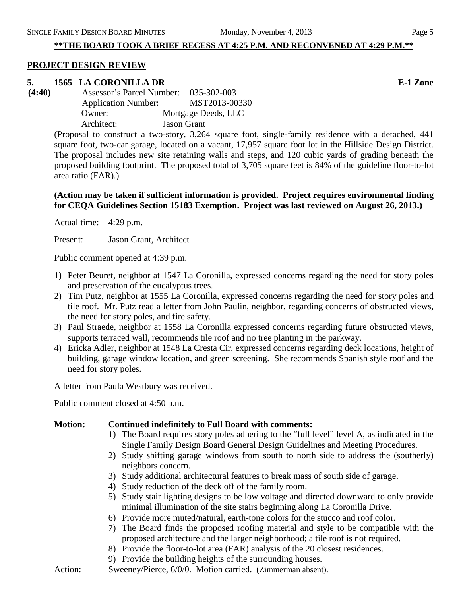### **\*\*THE BOARD TOOK A BRIEF RECESS AT 4:25 P.M. AND RECONVENED AT 4:29 P.M.\*\***

#### **PROJECT DESIGN REVIEW**

#### **5. 1565 LA CORONILLA DR E-1 Zone**

**(4:40)** Assessor's Parcel Number: 035-302-003 Application Number: MST2013-00330 Owner: Mortgage Deeds, LLC Architect: Jason Grant

(Proposal to construct a two-story, 3,264 square foot, single-family residence with a detached, 441 square foot, two-car garage, located on a vacant, 17,957 square foot lot in the Hillside Design District. The proposal includes new site retaining walls and steps, and 120 cubic yards of grading beneath the proposed building footprint. The proposed total of 3,705 square feet is 84% of the guideline floor-to-lot area ratio (FAR).)

#### **(Action may be taken if sufficient information is provided. Project requires environmental finding for CEQA Guidelines Section 15183 Exemption. Project was last reviewed on August 26, 2013.)**

Actual time: 4:29 p.m.

Present: Jason Grant, Architect

Public comment opened at 4:39 p.m.

- 1) Peter Beuret, neighbor at 1547 La Coronilla, expressed concerns regarding the need for story poles and preservation of the eucalyptus trees.
- 2) Tim Putz, neighbor at 1555 La Coronilla, expressed concerns regarding the need for story poles and tile roof. Mr. Putz read a letter from John Paulin, neighbor, regarding concerns of obstructed views, the need for story poles, and fire safety.
- 3) Paul Straede, neighbor at 1558 La Coronilla expressed concerns regarding future obstructed views, supports terraced wall, recommends tile roof and no tree planting in the parkway.
- 4) Ericka Adler, neighbor at 1548 La Cresta Cir, expressed concerns regarding deck locations, height of building, garage window location, and green screening. She recommends Spanish style roof and the need for story poles.

A letter from Paula Westbury was received.

Public comment closed at 4:50 p.m.

#### **Motion: Continued indefinitely to Full Board with comments:**

- 1) The Board requires story poles adhering to the "full level" level A, as indicated in the Single Family Design Board General Design Guidelines and Meeting Procedures.
- 2) Study shifting garage windows from south to north side to address the (southerly) neighbors concern.
- 3) Study additional architectural features to break mass of south side of garage.
- 4) Study reduction of the deck off of the family room.
- 5) Study stair lighting designs to be low voltage and directed downward to only provide minimal illumination of the site stairs beginning along La Coronilla Drive.
- 6) Provide more muted/natural, earth-tone colors for the stucco and roof color.
- 7) The Board finds the proposed roofing material and style to be compatible with the proposed architecture and the larger neighborhood; a tile roof is not required.
- 8) Provide the floor-to-lot area (FAR) analysis of the 20 closest residences.
- 9) Provide the building heights of the surrounding houses.

Action: Sweeney/Pierce, 6/0/0. Motion carried. (Zimmerman absent).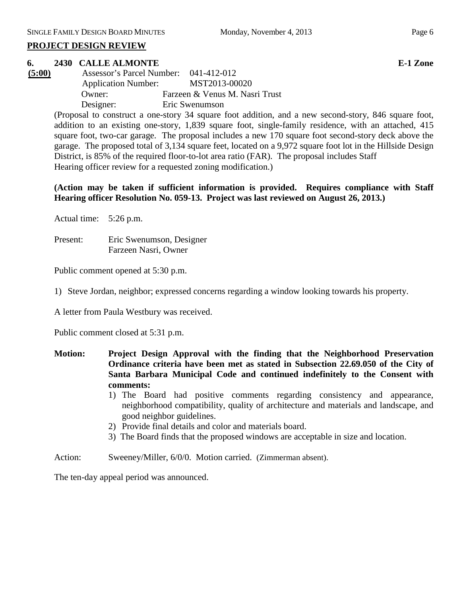#### **PROJECT DESIGN REVIEW**

### **6. 2430 CALLE ALMONTE E-1 Zone**

**(5:00)** Assessor's Parcel Number: 041-412-012 Application Number: MST2013-00020 Owner: Farzeen & Venus M. Nasri Trust Designer: Eric Swenumson

> (Proposal to construct a one-story 34 square foot addition, and a new second-story, 846 square foot, addition to an existing one-story, 1,839 square foot, single-family residence, with an attached, 415 square foot, two-car garage. The proposal includes a new 170 square foot second-story deck above the garage. The proposed total of 3,134 square feet, located on a 9,972 square foot lot in the Hillside Design District, is 85% of the required floor-to-lot area ratio (FAR). The proposal includes Staff Hearing officer review for a requested zoning modification.)

> **(Action may be taken if sufficient information is provided. Requires compliance with Staff Hearing officer Resolution No. 059-13. Project was last reviewed on August 26, 2013.)**

Actual time: 5:26 p.m.

Present: Eric Swenumson, Designer Farzeen Nasri, Owner

Public comment opened at 5:30 p.m.

1) Steve Jordan, neighbor; expressed concerns regarding a window looking towards his property.

A letter from Paula Westbury was received.

Public comment closed at 5:31 p.m.

- **Motion: Project Design Approval with the finding that the Neighborhood Preservation Ordinance criteria have been met as stated in Subsection 22.69.050 of the City of Santa Barbara Municipal Code and continued indefinitely to the Consent with comments:** 
	- 1) The Board had positive comments regarding consistency and appearance, neighborhood compatibility, quality of architecture and materials and landscape, and good neighbor guidelines.
	- 2) Provide final details and color and materials board.
	- 3) The Board finds that the proposed windows are acceptable in size and location.
- Action: Sweeney/Miller, 6/0/0. Motion carried. (Zimmerman absent).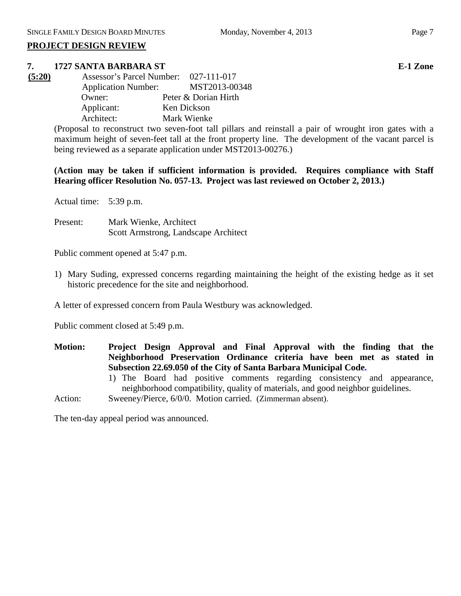#### **PROJECT DESIGN REVIEW**

#### **7. 1727 SANTA BARBARA ST E-1 Zone**

| (5:20) | Assessor's Parcel Number: 027-111-017 |                      |
|--------|---------------------------------------|----------------------|
|        | <b>Application Number:</b>            | MST2013-00348        |
|        | Owner:                                | Peter & Dorian Hirth |
|        | Applicant:                            | Ken Dickson          |
|        | Architect:                            | Mark Wienke          |

(Proposal to reconstruct two seven-foot tall pillars and reinstall a pair of wrought iron gates with a maximum height of seven-feet tall at the front property line. The development of the vacant parcel is being reviewed as a separate application under MST2013-00276.)

**(Action may be taken if sufficient information is provided. Requires compliance with Staff Hearing officer Resolution No. 057-13. Project was last reviewed on October 2, 2013.)**

Actual time: 5:39 p.m.

Present: Mark Wienke, Architect Scott Armstrong, Landscape Architect

Public comment opened at 5:47 p.m.

1) Mary Suding, expressed concerns regarding maintaining the height of the existing hedge as it set historic precedence for the site and neighborhood.

A letter of expressed concern from Paula Westbury was acknowledged.

Public comment closed at 5:49 p.m.

- **Motion: Project Design Approval and Final Approval with the finding that the Neighborhood Preservation Ordinance criteria have been met as stated in Subsection 22.69.050 of the City of Santa Barbara Municipal Code.**
	- 1) The Board had positive comments regarding consistency and appearance, neighborhood compatibility, quality of materials, and good neighbor guidelines.

Action: Sweeney/Pierce, 6/0/0. Motion carried. (Zimmerman absent).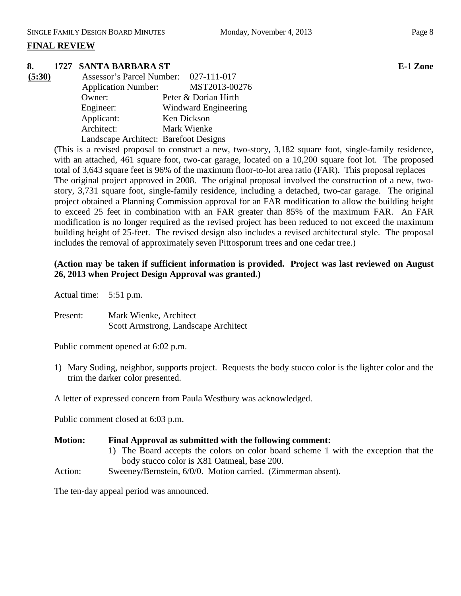# **FINAL REVIEW**

# **8. 1727 SANTA BARBARA ST E-1 Zone**

| (5:30) | Assessor's Parcel Number: 027-111-017 |                      |
|--------|---------------------------------------|----------------------|
|        | <b>Application Number:</b>            | MST2013-00276        |
|        | Owner:                                | Peter & Dorian Hirth |
|        | Engineer:                             | Windward Engineering |
|        | Applicant:                            | Ken Dickson          |
|        | Architect:                            | Mark Wienke          |
|        | Landscape Architect: Barefoot Designs |                      |

(This is a revised proposal to construct a new, two-story, 3,182 square foot, single-family residence, with an attached, 461 square foot, two-car garage, located on a 10,200 square foot lot. The proposed total of 3,643 square feet is 96% of the maximum floor-to-lot area ratio (FAR). This proposal replaces The original project approved in 2008. The original proposal involved the construction of a new, twostory, 3,731 square foot, single-family residence, including a detached, two-car garage. The original project obtained a Planning Commission approval for an FAR modification to allow the building height to exceed 25 feet in combination with an FAR greater than 85% of the maximum FAR. An FAR modification is no longer required as the revised project has been reduced to not exceed the maximum building height of 25-feet. The revised design also includes a revised architectural style. The proposal includes the removal of approximately seven Pittosporum trees and one cedar tree.)

### **(Action may be taken if sufficient information is provided. Project was last reviewed on August 26, 2013 when Project Design Approval was granted.)**

Actual time: 5:51 p.m.

Present: Mark Wienke, Architect Scott Armstrong, Landscape Architect

Public comment opened at 6:02 p.m.

1) Mary Suding, neighbor, supports project. Requests the body stucco color is the lighter color and the trim the darker color presented.

A letter of expressed concern from Paula Westbury was acknowledged.

Public comment closed at 6:03 p.m.

# **Motion: Final Approval as submitted with the following comment:**

- 1) The Board accepts the colors on color board scheme 1 with the exception that the body stucco color is X81 Oatmeal, base 200.
- Action: Sweeney/Bernstein, 6/0/0. Motion carried. (Zimmerman absent).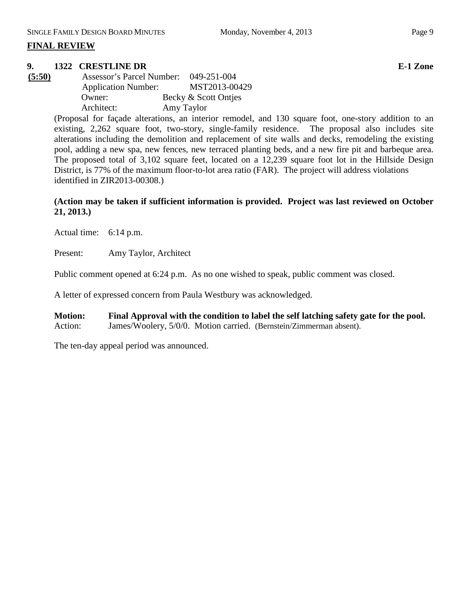# **9. 1322 CRESTLINE DR E-1 Zone**

| (5:50) | Assessor's Parcel Number:  |            | 049-251-004          |
|--------|----------------------------|------------|----------------------|
|        | <b>Application Number:</b> |            | MST2013-00429        |
|        | Owner:                     |            | Becky & Scott Ontjes |
|        | Architect:                 | Amy Taylor |                      |

(Proposal for façade alterations, an interior remodel, and 130 square foot, one-story addition to an existing, 2,262 square foot, two-story, single-family residence. The proposal also includes site alterations including the demolition and replacement of site walls and decks, remodeling the existing pool, adding a new spa, new fences, new terraced planting beds, and a new fire pit and barbeque area. The proposed total of 3,102 square feet, located on a 12,239 square foot lot in the Hillside Design District, is 77% of the maximum floor-to-lot area ratio (FAR). The project will address violations identified in ZIR2013-00308.)

# **(Action may be taken if sufficient information is provided. Project was last reviewed on October 21, 2013.)**

Actual time: 6:14 p.m.

Present: Amy Taylor, Architect

Public comment opened at 6:24 p.m. As no one wished to speak, public comment was closed.

A letter of expressed concern from Paula Westbury was acknowledged.

**Motion: Final Approval with the condition to label the self latching safety gate for the pool.**  Action: James/Woolery, 5/0/0. Motion carried. (Bernstein/Zimmerman absent).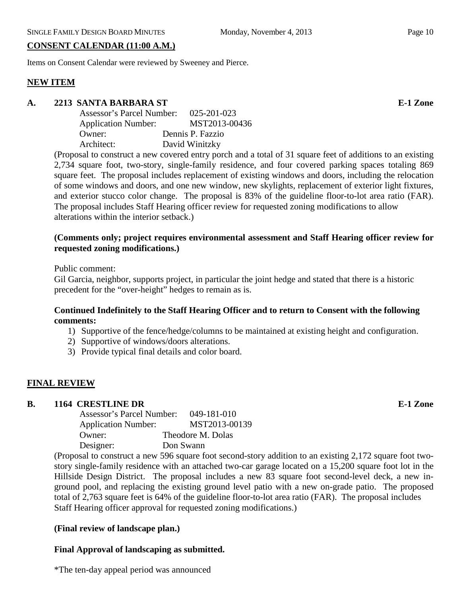# **CONSENT CALENDAR (11:00 A.M.)**

Items on Consent Calendar were reviewed by Sweeney and Pierce.

# **NEW ITEM**

### **A. 2213 SANTA BARBARA ST E-1 Zone**

| Assessor's Parcel Number:  | 025-201-023      |
|----------------------------|------------------|
| <b>Application Number:</b> | MST2013-00436    |
| Owner:                     | Dennis P. Fazzio |
| Architect:                 | David Winitzky   |

(Proposal to construct a new covered entry porch and a total of 31 square feet of additions to an existing 2,734 square foot, two-story, single-family residence, and four covered parking spaces totaling 869 square feet. The proposal includes replacement of existing windows and doors, including the relocation of some windows and doors, and one new window, new skylights, replacement of exterior light fixtures, and exterior stucco color change. The proposal is 83% of the guideline floor-to-lot area ratio (FAR). The proposal includes Staff Hearing officer review for requested zoning modifications to allow alterations within the interior setback.)

### **(Comments only; project requires environmental assessment and Staff Hearing officer review for requested zoning modifications.)**

Public comment:

Gil Garcia, neighbor, supports project, in particular the joint hedge and stated that there is a historic precedent for the "over-height" hedges to remain as is.

### **Continued Indefinitely to the Staff Hearing Officer and to return to Consent with the following comments:**

- 1) Supportive of the fence/hedge/columns to be maintained at existing height and configuration.
- 2) Supportive of windows/doors alterations.
- 3) Provide typical final details and color board.

### **FINAL REVIEW**

#### **B. 1164 CRESTLINE DR E-1 Zone**

| <b>Assessor's Parcel Number:</b><br>049-181-010 |
|-------------------------------------------------|
| MST2013-00139                                   |
| Theodore M. Dolas                               |
| Don Swann                                       |
|                                                 |

(Proposal to construct a new 596 square foot second-story addition to an existing 2,172 square foot twostory single-family residence with an attached two-car garage located on a 15,200 square foot lot in the Hillside Design District. The proposal includes a new 83 square foot second-level deck, a new inground pool, and replacing the existing ground level patio with a new on-grade patio. The proposed total of 2,763 square feet is 64% of the guideline floor-to-lot area ratio (FAR). The proposal includes Staff Hearing officer approval for requested zoning modifications.)

### **(Final review of landscape plan.)**

### **Final Approval of landscaping as submitted.**